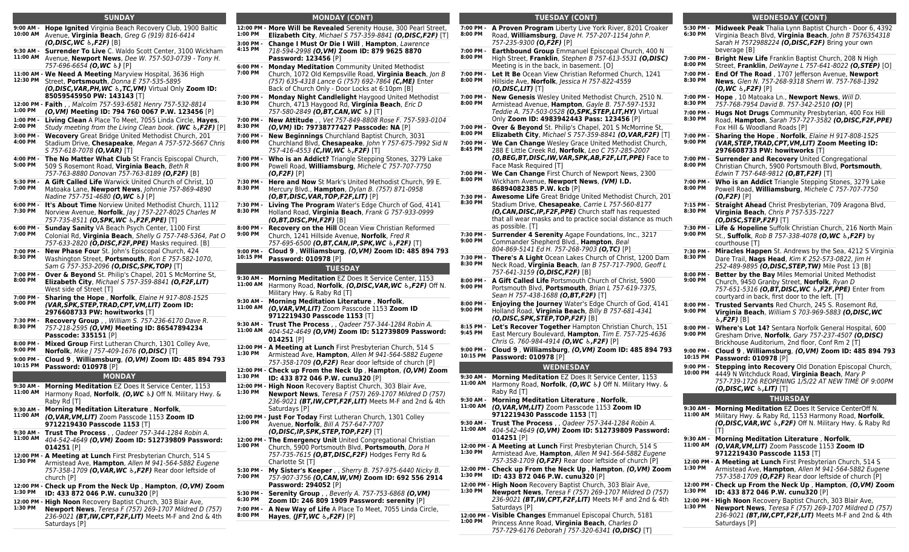### **SUNDAY**

|  | 9:00 AM -<br>10:00 AM   | <b>Hope Ignited</b> Virginia Beach Recovery Club, 1900 Baltic<br>Avenue, Virginia Beach, Greg G (919) 816-6414<br>$(0. DISC, WC, E.F2F)$ [B]                                                  |
|--|-------------------------|-----------------------------------------------------------------------------------------------------------------------------------------------------------------------------------------------|
|  | $9:30$ AM -<br>11:00 AM | Surrender To Live C. Waldo Scott Center, 3100 Wickham<br>Avenue, Newport News, Dee W. 757-503-0739 - Tony H.<br>757-696-6654 (O, WC &) [P]                                                    |
|  | 12:30 PM                | 11:00 AM - We Need A Meeting Maryview Hospital, 3636 High<br>Street. Portsmouth. Donna E 757-535-5895<br>(O, DISC, VAR, PH, WC &, TC, VM) Virtual Only Zoom ID:<br>85059545950 PW: 143143 [T] |
|  |                         | 12:00 PM - Faith , , Malcolm 757-593-6581 Henry 757-532-8814                                                                                                                                  |

- **12:00 PM - 1:00 PM** *(O,VM)* **Meeting ID: 794 760 0067 P.W. 123456** [P]
- **1:00 PM - Living Clean** A Place To Meet, 7055 Linda Circle, **Hayes**,
- **2:00 PM** Study meeting from the Living Clean book. *(WC ♿,F2F)* [P]
- **3:00 PM - Wecovery** Great Bridge United Methodist Church, 201
- **4:00 PM** Stadium Drive, **Chesapeake**, Megan A 757-572-5667 Chris S 757-618-7078 *(O,VAR)* [T]
- **4:00 PM - The No Matter What Club** St Francis Episcopal Church, **5:00 PM** 509 S Rosemont Road, **Virginia Beach**, Beth R 757-763-8880 Donovan 757-763-8189 *(O,F2F)* [B]
- **5:30 PM - A Gift Called Life** Warwick United Church of Christ, 10 **7:00 PM** Matoaka Lane, **Newport News**, Johnnie 757-869-4890 Nadine 757-751-4680 *(O,WC ♿)* [P]
- **6:00 PM - It's About Time** Norview United Methodist Church, 1112 **7:30 PM** Norview Avenue, **Norfolk**, Jay J 757-227-8025 Charles M
- 757-735-8511 *(O,SPK,WC ♿,F2F,PPE)* [T] **6:00 PM - Sunday Sanity** VA Beach Psych Center, 1100 First **7:00 PM**
- Colonial Rd, **Virginia Beach**, Shelly G 757-748-5364, Pat O 757-633-2820 *(O,DISC,F2F,PPE)* Masks required. [B]
- **7:00 PM - New Phase Four** St. John's Episcopal Church, 424 **8:30 PM** Washington Street, **Portsmouth**, Ron E 757-582-1070, Sam G 757-353-2096 *(O,DISC,SPK,TOP)* [T]
- **7:00 PM - Over & Beyond** St. Philip's Chapel, 201 S McMorrine St, **8:00 PM Elizabeth City**, Michael S 757-359-8841 *(O,F2F,LIT)* West side of Street [T]
- **7:00 PM - 9:00 PM Sharing the Hope** , **Norfolk**, Elaine H 917-808-1525 *(VAR,SPK,STEP,TRAD,CPT,VM,LIT)* **Zoom ID: 2976608733 PW: howitworks** [T]
- **7:30 PM - Recovery Group** , , William S. 757-236-6170 Dave R. **8:30 PM** 757-218-2595 *(O,VM)* **Meeting ID: 86547894234**
- **Passcode: 335151** [P] **8:00 PM - Mixed Group** First Lutheran Church, 1301 Colley Ave,
- **9:00 PM Norfolk**, Mike J 757-409-1676 *(O,DISC)* [T]
- **9:00 PM - Cloud 9** , **Williamsburg**, *(O,VM)* **Zoom ID: 485 894 793 10:15 PM Password: 010978** [P]

#### **MONDAY**

- **9:30 AM - Morning Meditation** EZ Does It Service Center, 1153
- **11:00 AM** Harmony Road, **Norfolk**, *(O,WC ♿)* Off N. Military Hwy. & Raby Rd [T]
- **9:30 AM - Morning Meditation Literature** , **Norfolk**,
- **11:00 AM** *(O,VAR,VM,LIT)* Zoom Passcode 1153 **Zoom ID 9712219430 Passcode 1153** [T]
- **9:30 AM - Trust The Process** , , Qadeer 757-344-1284 Robin A.
- **11:00 AM** 404-542-4649 *(O,VM)* **Zoom ID: 512739809 Password: 014251** [P]
- **12:00 PM - A Meeting at Lunch** First Presbyterian Church, 514 S **1:30 PM** Armistead Ave, **Hampton**, Allen M 941-564-5882 Eugene 757-358-1709 *(O,VAR,WC ♿,F2F)* Rear door leftside of church [P]
- **12:00 PM - Check up From the Neck Up** , **Hampton**, *(O,VM)* **Zoom 1:30 PM ID: 433 872 046 P.W. cunu320** [P]
- **12:00 PM - High Noon** Recovery Baptist Church, 303 Blair Ave,
- **1:30 PM Newport News**, Teresa F (757) 269-1707 Mildred D (757) 236-9021 *(BT,IW,CPT,F2F,LIT)* Meets M-F and 2nd & 4th Saturdays [P]

### **MONDAY (CONT)**

**1:00 PM**

**3:00 PM - 4:15 PM**

**6:00 PM - 7:00 PM**

**7:00 PM - 8:30 PM**

**7:00 PM - 8:30 PM**

**7:00 PM - 8:00 PM**

**7:00 PM - 8:00 PM**

**7:30 PM - 8:30 PM**

**7:30 PM - 8:30 PM**

**8:00 PM - 9:00 PM**

**9:00 PM - 10:15 PM**

**11:00 AM**

**11:00 AM**

**11:00 AM**

**1:30 PM**

**1:30 PM**

**1:30 PM**

**1:00 PM**

**1:00 PM**

**12:00 PM - More Will be Revealed** Serenity House, 300 Pearl Street, **Elizabeth City**, Michael S 757-359-8841 *(O,DISC,F2F)* [T] **Change I Must Or Die I Will** , **Hampton**, Lawrence 718-594-2998 *(O,VM)* **Zoom ID: 879 9625 8870 Password: 123456** [P] **Monday Meditation** Community United Methodist Church, 1072 Old Kempsville Road, **Virginia Beach**, Jon B (757) 635-4318 Lance G (757) 692-7864 *(C,ME)* Enter Back of Church Only - Door Locks at 6:10pm [B] **Monday Night Candlelight** Haygood United Methodist Church, 4713 Haygood Rd, **Virginia Beach**, Eric D 757-580-2849 *(O,BT,CAN,WC ♿)* [T] **New Attitude** , , Vet 757-849-8808 Rose F. 757-593-0104 *(O,VM)* **ID: 79738777427 Passcode: NA** [P] **New Beginnings** Churchland Baptist Church, 3031 Churchland Blvd, **Chesapeake**, John Y 757-675-7992 Sid N 757-416-4553 *(C,IW,WC ♿,F2F)* [T] **Who is an Addict?** Triangle Stepping Stones, 3279 Lake Powell Road, **Williamsburg**, Michele C 757-707-7750 *(O,F2F)* [P] **Here and Now** St Mark's United Methodist Church, 99 E. Mercury Blvd., **Hampton**, Dylan B. (757) 871-0958 *(O,BT,DISC,VAR,TOP,F2F,LIT)* [P] **Living The Program** Water's Edge Church of God, 4141 Holland Road, **Virginia Beach**, Frank G 757-933-0999 *(O,BT,DISC,PH,F2F)* [B] **Recovery on the Hill** Ocean View Christian Reformed Church, 1241 Hillside Avenue, **Norfolk**, Fred R 757-695-6500 *(O,BT,CAN,IP,SPK,WC ♿,F2F)* [T] **Cloud 9** , **Williamsburg**, *(O,VM)* **Zoom ID: 485 894 793 Password: 010978** [P] **TUESDAY 9:30 AM - Morning Meditation** EZ Does It Service Center, 1153 Harmony Road, **Norfolk**, *(O,DISC,VAR,WC ♿,F2F)* Off N. Military Hwy. & Raby Rd [T] **9:30 AM - Morning Meditation Literature** , **Norfolk**, *(O,VAR,VM,LIT)* Zoom Passcode 1153 **Zoom ID 9712219430 Passcode 1153** [T] **9:30 AM - Trust The Process** , , Qadeer 757-344-1284 Robin A. 404-542-4649 *(O,VM)* **Zoom ID: 512739809 Password: 014251** [P] **12:00 PM - A Meeting at Lunch** First Presbyterian Church, 514 S Armistead Ave, **Hampton**, Allen M 941-564-5882 Eugene 757-358-1709 *(O,F2F)* Rear door leftside of church [P] **12:00 PM - Check up From the Neck Up** , **Hampton**, *(O,VM)* **Zoom ID: 433 872 046 P.W. cunu320** [P] **12:00 PM - High Noon** Recovery Baptist Church, 303 Blair Ave, **Newport News**, Teresa F (757) 269-1707 Mildred D (757) 236-9021 *(BT,IW,CPT,F2F,LIT)* Meets M-F and 2nd & 4th Saturdays [P] **12:00 PM - Just For Today** First Lutheran Church, 1301 Colley Avenue, **Norfolk**, Bill A 757-647-7707 *(O,DISC,IP,SPK,STEP,TOP,F2F)* [T] **12:00 PM - The Emergency Unit** United Congregational Christian Church, 5900 Portsmouth Blvd, **Portsmouth**, Dora H 757-735-7615 *(O,BT,DISC,F2F)* Hodges Ferry Rd & Charlotte St [T] **7:00 PM - 8:00 PM 7:00 PM - 8:00 PM 7:00 PM - 8:00 PM 7:00 PM - 8:00 PM 7:00 PM - 8:00 PM 7:00 PM - 8:45 PM 7:00 PM - 8:00 PM 7:30 PM - 8:30 PM 7:30 PM - 9:00 PM 7:30 PM - 8:30 PM 8:00 PM - 9:00 PM 8:00 PM - 9:00 PM 8:15 PM - 9:45 PM 9:00 PM - 10:15 PM 9:30 AM - 11:00 AM 9:30 AM - 11:00 AM 9:30 AM - 11:00 AM 12:00 PM - 1:30 PM**

- **5:30 PM - 7:00 PM My Sister's Keeper** , , Sherry B. 757-975-6440 Nicky B. 757-907-3756 *(O,CAN,W,VM)* **Zoom ID: 692 556 2914 Password: 294052** [P]
- **5:30 PM - 6:30 PM Serenity Group** , , Beverly A. 757-753-6868 *(O,VM)*
- **Zoom ID: 246 809 1909 Password: serenity** [P] **7:00 PM -**
- **8:00 PM A New Way of Life** A Place To Meet, 7055 Linda Circle, **Hayes**, *(JFT,WC ♿,F2F)* [P]

| <b>TUESDAY (CONT)</b> |                                                                                                                                                                                                                                                                 |  |  |  |  |  |
|-----------------------|-----------------------------------------------------------------------------------------------------------------------------------------------------------------------------------------------------------------------------------------------------------------|--|--|--|--|--|
| 7:00 PM -<br>8:00 PM  | A Proven Program Liberty Live York River, 8201 Croaker<br>Road, <b>Williamsburg</b> , Dave H. 757-207-1154 John P.<br>757-235-9300 <b>(O,F2F)</b> [P]                                                                                                           |  |  |  |  |  |
| 7:00 PM -<br>8:00 PM  | <b>Earthbound Group</b> Emmanuel Episcopal Church, 400 N<br>High Street, Franklin, Stephen B 757-613-5531 (O,DISC)<br>Meeting is in the back, in basement. [O]                                                                                                  |  |  |  |  |  |
| 7:00 PM -<br>8:00 PM  | Let It Be Ocean View Christian Reformed Church, 1241<br>Hillside Ave, <b>Norfolk</b> , Jessica H 757-822-4559<br>( <b>O,DISC,LIT)</b> [T]                                                                                                                       |  |  |  |  |  |
| 7:00 PM -<br>8:00 PM  | <b>New Genesis</b> Wesley United Methodist Church, 2510 N.<br>Armistead Avenue, Hampton, Gayle B. 757-597-1531<br>Teddie A. 757-503-0528 (O, SPK, STEP, LIT, HY) Virtual<br>Only Zoom ID: 4983942443 Pass: 123456 [P]                                           |  |  |  |  |  |
| 7:00 PM -<br>8:00 PM  | Over & Beyond St. Philip's Chapel, 201 S McMorrine St,<br><b>Elizabeth City</b> , Michael S 757-359-8841 <b>(O,VAR,F2F)</b> [T]                                                                                                                                 |  |  |  |  |  |
| 7:00 PM -<br>8:45 PM  | We Can Change Wesley Grace United Methodist Church,<br>288 E Little Creek Rd, <b>Norfolk</b> , <i>Leo C 757-285-2007</i><br><b>(O,BEG,BT,DISC,IW,VAR,SPK,AB,F2F,LIT,PPE)</b> Face to<br>Face Mask Required [T]                                                  |  |  |  |  |  |
| 7:00 PM -<br>8:00 PM  | We Can Change First Church of Newport News, 2300<br>Wickham Avenue, <b>Newport News, (VM) I.D.</b><br>86894082385 P.W. kcb [P]                                                                                                                                  |  |  |  |  |  |
| 7:30 PM -<br>8:30 PM  | <b>Awesome Life</b> Great Bridge United Methodist Church, 201<br>Stadium Drive, Chesapeake, Carrie L 757-560-8177<br>(O, CAN, DISC, IP, F2F, PPE) Church staff has requested<br>that all wear masks and to practice social distance as much<br>as possible. [T] |  |  |  |  |  |
| 7:30 PM -<br>9:00 PM  | Surrender 4 Serenity Agape Foundations, Inc., 3217<br>Commander Shepherd Blvd., Hampton, Beal                                                                                                                                                                   |  |  |  |  |  |
| 7:30 PM -<br>8:30 PM  | <b>There's A Light</b> Ocean Lakes Church of Christ, 1200 Dam<br>Neck Road, Virginia Beach, Ian B 757-717-7900, Geoff L<br>757-641-3159 <b>(O,DISC,F2F)</b> [B]                                                                                                 |  |  |  |  |  |
| 8:00 PM -<br>9:00 PM  | A Gift Called Life Portsmouth Church of Christ, 5900<br>Portsmouth Blvd, <b>Portsmouth</b> , <i>Brian L 757-619-7375</i> ,<br>Sean H 757-438-1688 <b>(O,BT,F2F)</b> [T]                                                                                         |  |  |  |  |  |
| 8:00 PM -<br>9:00 PM  | <b>Enjoying the Journey</b> Water's Edge Church of God, 4141<br>Holland Road, Virginia Beach, Billy B 757-681-4341<br>( <b>O,DISC,SPK,STEP,TOP,F2F)</b> [B]                                                                                                     |  |  |  |  |  |
| 8:15 PM -<br>9:45 PM  | Let's Recover Together Hampton Christian Church, 151<br>East Mercury Boulevard, Hampton, Tim E. 757-725-4636<br>Chris G. 760-984-4914 (O, WC &, F2F) [P]                                                                                                        |  |  |  |  |  |
| 9:00 PM -<br>10:15 PM | Cloud 9, Williamsburg, (O, VM) Zoom ID: 485 894 793<br><b>Password: 010978 [P]</b>                                                                                                                                                                              |  |  |  |  |  |
| 9:30 AM -             | <b>WEDNESDAY</b>                                                                                                                                                                                                                                                |  |  |  |  |  |
| 11:00 AM              | <b>Morning Meditation EZ Does It Service Center, 1153</b><br>Harmony Road, <b>Norfolk, (O,WC</b> &) Off N. Military Hwy. &<br>Raby Rd [T]                                                                                                                       |  |  |  |  |  |
| 9:30 AM -<br>11:00 AM | Morning Meditation Literature , Norfolk,<br>(O,VAR,VM,LIT) Zoom Passcode 1153 Zoom ID<br>9712219430 Passcode 1153 [T]                                                                                                                                           |  |  |  |  |  |
| 9:30 AM -<br>11:00 AM | Trust The Process, , Qadeer 757-344-1284 Robin A.<br>404-542-4649 (O, VM) Zoom ID: 512739809 Password:<br>$014251$ [P]                                                                                                                                          |  |  |  |  |  |
| 1:30 PM               | 12:00 PM - A Meeting at Lunch First Presbyterian Church, 514 S<br>Armistead Ave, Hampton, Allen M 941-564-5882 Eugene<br>757-358-1709 (O,F2F) Rear door leftside of church [P]                                                                                  |  |  |  |  |  |
| 1:30 PM               | 12:00 PM - Check up From the Neck Up , Hampton, (O,VM) Zoom<br>ID: 433 872 046 P.W. cunu320 [P]                                                                                                                                                                 |  |  |  |  |  |
| 1:30 PM               | 12:00 PM - High Noon Recovery Baptist Church, 303 Blair Ave,<br><b>Newport News, Teresa F (757) 269-1707 Mildred D (757)</b><br>236-9021 (BT, IW, CPT, F2F, LIT) Meets M-F and 2nd & 4th<br>Saturdays [P]                                                       |  |  |  |  |  |
| 1:00 PM               | 12:00 PM - Visible Changes Emmanuel Episcopal Church, 5181<br>Princess Anne Road, Virginia Beach, Charles D<br>757-729-6176 Deborah   757-320-6341 (O,DISC) [T]                                                                                                 |  |  |  |  |  |

| 5:30 PM -<br>6:30 PM  | Midweek Peak Thalia Lynn Baptist Church - Door 6, 4392                                                                                                                                                     |
|-----------------------|------------------------------------------------------------------------------------------------------------------------------------------------------------------------------------------------------------|
|                       | Virginia Beach Blvd, Virginia Beach, John B 7576354318<br>Sarah H 7572988224 (O, DISC, F2F) Bring your own                                                                                                 |
|                       | beverage [B]                                                                                                                                                                                               |
| 7:00 PM -<br>8:00 PM  | Bright New Life Franklin Baptist Church, 208 N High<br>Street, Franklin, DeWayne L 757-641-8022 (O,STEP) [O]                                                                                               |
| 7:00 PM -<br>8:30 PM  | End Of The Road, 1707 Jefferson Avenue, Newport<br>News, Glen N. 757-268-9318 Sherri W. 757-768-1392                                                                                                       |
|                       | (O, WC & , F2F) [P]                                                                                                                                                                                        |
| 7:00 PM -<br>8:30 PM  | Hope, 10 Matoaka Ln., Newport News, Will D.<br>757-768-7954 David B. 757-342-2510 (O) [P]                                                                                                                  |
| 7:00 PM -<br>8:30 PM  | Hugs Not Drugs Community Presbyterian, 400 Fox Hill<br>Road, Hampton, Sarah 757-727-3582 (O,DISC,F2F,PPE)<br>Fox Hill & Woodland Roads [P]                                                                 |
| 7:00 PM -<br>9:00 PM  | Sharing the Hope, Norfolk, Elaine H 917-808-1525<br>(VAR, STEP, TRAD, CPT, VM, LIT) Zoom Meeting ID:                                                                                                       |
| 7:00 PM -             | 2976608733 PW: howitworks [T]<br><b>Surrender and Recovery United Congregational</b>                                                                                                                       |
| 8:00 PM               | Christian Church, 5900 Portsmouth Blvd, Portsmouth,<br>Edwin T 757-648-9812 (O,BT,F2F) [T]                                                                                                                 |
| 7:00 PM -<br>8:00 PM  | Who is an Addict Triangle Stepping Stones, 3279 Lake<br>Powell Road, Williamsburg, Michele C 757-707-7750<br>$(O, F2F)$ [P]                                                                                |
| 7:15 PM -<br>8:30 PM  | <b>Straight Ahead</b> Christ Presbyterian, 709 Aragona Blvd,<br>Virginia Beach, Chris P 757-535-7227<br>$(0, DISC, STEP, F2F)$ [T]                                                                         |
| 7:30 PM -<br>9:00 PM  | Life & Hopeline Suffolk Christian Church, 216 North Main<br>St., Suffolk, Rob B 757-338-4078 (O, WC &, F2F) by<br>courthouse [T]                                                                           |
| 7:30 PM -             | Miracles Happen St. Andrews by the Sea, 4212 S Virginia                                                                                                                                                    |
| 8:30 PM               | Dare Trail, Nags Head, Kim K 252-573-0822, Jim H<br>252-489-9895 (O, DISC, STEP, TW) Mile Post 13 [B]                                                                                                      |
| 8:00 PM -<br>9:00 PM  | Better by the Bay Miles Memorial United Methodist<br>Church, 9450 Granby Street, Norfolk, Ryan D                                                                                                           |
|                       | 757-651-5316 (O,BT,DISC,WC &,F2F,PPE) Enter from<br>courtyard in back, first door to the left. [T]                                                                                                         |
| 8:00 PM -<br>9:00 PM  | Trusted Servants Red Church, 245 S. Rosemont Rd,                                                                                                                                                           |
|                       | Virginia Beach, William S 703-969-5883 (O,DISC, WC<br>&, <b>F2F)</b> [B]                                                                                                                                   |
| 8:00 PM -             | Where's Lot 14? Sentara Norfolk General Hospital, 600                                                                                                                                                      |
| 9:00 PM               | Gresham Drive, Norfolk, Gary 757-237-4507 (O,DISC)<br>Brickhouse Auditorium, 2nd floor, Conf Rm 2 [T]                                                                                                      |
| 9:00 PM -<br>10:15 PM | Cloud 9, Williamsburg, (O, VM) Zoom ID: 485 894 793<br><b>Password: 010978 [P]</b>                                                                                                                         |
| 9:00 PM -             | Stepping into Recovery Old Donation Episcopal Church,                                                                                                                                                      |
| 10:00 PM              | 4449 N Witchduck Road, Virginia Beach, Mary P<br>757-739-1726 REOPENING 1/5/22 AT NEW TIME OF 9:00PM                                                                                                       |
|                       | $(0, DISC, WC, LIT)$ [T]                                                                                                                                                                                   |
|                       | <b>THURSDAY</b>                                                                                                                                                                                            |
| 9:30 AM -<br>11:00 AM | Morning Meditation EZ Does It Service CenterOff N.                                                                                                                                                         |
|                       | Military Hwy. & Raby Rd, 1153 Harmony Road, <b>Norfolk</b> ,<br>(O, DISC, VAR, WC &, F2F) Off N. Military Hwy. & Raby Rd<br>ΙTΙ                                                                            |
| 9:30 AM -<br>11:00 AM | Morning Meditation Literature, Norfolk,<br>(O, VAR, VM, LIT) Zoom Passcode 1153 Zoom ID<br>9712219430 Passcode 1153 [T]                                                                                    |
| 1:30 PM               | 12:00 PM - A Meeting at Lunch First Presbyterian Church, 514 S<br>Armistead Ave, Hampton, Allen M 941-564-5882 Eugene                                                                                      |
|                       | 757-358-1709 (O,F2F) Rear door leftside of church [P]<br>12:00 PM - Check up From the Neck Up, Hampton, (O,VM) Zoom                                                                                        |
| 1:30 PM               | ID: 433 872 046 P.W. cunu320 [P]                                                                                                                                                                           |
| 1:30 PM               | 12:00 PM - High Noon Recovery Baptist Church, 303 Blair Ave,<br><b>Newport News</b> , Teresa F (757) 269-1707 Mildred D (757)<br>236-9021 (BT, IW, CPT, F2F, LIT) Meets M-F and 2nd & 4th<br>Saturdays [P] |
|                       |                                                                                                                                                                                                            |

**WEDNESDAY (CONT)**